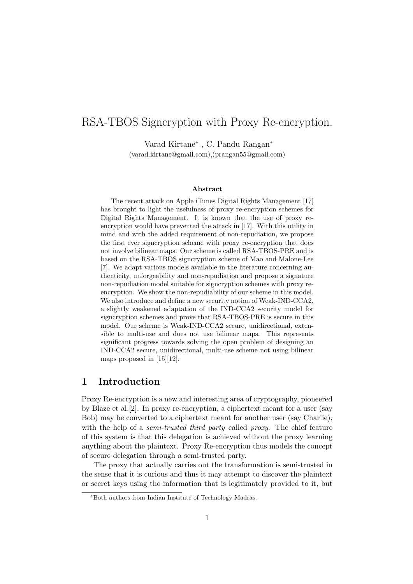# RSA-TBOS Signcryption with Proxy Re-encryption.

Varad Kirtane<sup>∗</sup> , C. Pandu Rangan<sup>∗</sup>

(varad.kirtane@gmail.com),(prangan55@gmail.com)

#### Abstract

The recent attack on Apple iTunes Digital Rights Management [17] has brought to light the usefulness of proxy re-encryption schemes for Digital Rights Management. It is known that the use of proxy reencryption would have prevented the attack in [17]. With this utility in mind and with the added requirement of non-repudiation, we propose the first ever signcryption scheme with proxy re-encryption that does not involve bilinear maps. Our scheme is called RSA-TBOS-PRE and is based on the RSA-TBOS signcryption scheme of Mao and Malone-Lee [7]. We adapt various models available in the literature concerning authenticity, unforgeability and non-repudiation and propose a signature non-repudiation model suitable for signcryption schemes with proxy reencryption. We show the non-repudiability of our scheme in this model. We also introduce and define a new security notion of Weak-IND-CCA2, a slightly weakened adaptation of the IND-CCA2 security model for signcryption schemes and prove that RSA-TBOS-PRE is secure in this model. Our scheme is Weak-IND-CCA2 secure, unidirectional, extensible to multi-use and does not use bilinear maps. This represents significant progress towards solving the open problem of designing an IND-CCA2 secure, unidirectional, multi-use scheme not using bilinear maps proposed in [15][12].

## 1 Introduction

Proxy Re-encryption is a new and interesting area of cryptography, pioneered by Blaze et al.[2]. In proxy re-encryption, a ciphertext meant for a user (say Bob) may be converted to a ciphertext meant for another user (say Charlie), with the help of a semi-trusted third party called proxy. The chief feature of this system is that this delegation is achieved without the proxy learning anything about the plaintext. Proxy Re-encryption thus models the concept of secure delegation through a semi-trusted party.

The proxy that actually carries out the transformation is semi-trusted in the sense that it is curious and thus it may attempt to discover the plaintext or secret keys using the information that is legitimately provided to it, but

<sup>∗</sup>Both authors from Indian Institute of Technology Madras.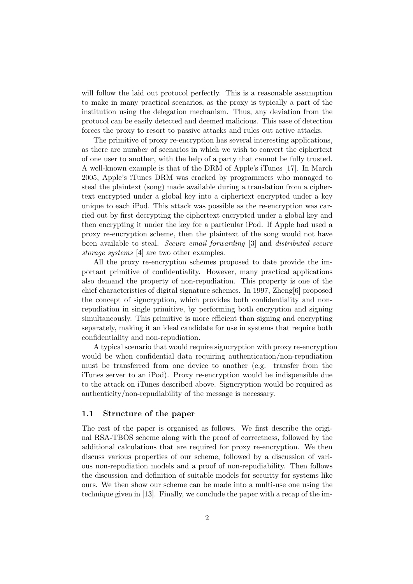will follow the laid out protocol perfectly. This is a reasonable assumption to make in many practical scenarios, as the proxy is typically a part of the institution using the delegation mechanism. Thus, any deviation from the protocol can be easily detected and deemed malicious. This ease of detection forces the proxy to resort to passive attacks and rules out active attacks.

The primitive of proxy re-encryption has several interesting applications, as there are number of scenarios in which we wish to convert the ciphertext of one user to another, with the help of a party that cannot be fully trusted. A well-known example is that of the DRM of Apple's iTunes [17]. In March 2005, Apple's iTunes DRM was cracked by programmers who managed to steal the plaintext (song) made available during a translation from a ciphertext encrypted under a global key into a ciphertext encrypted under a key unique to each iPod. This attack was possible as the re-encryption was carried out by first decrypting the ciphertext encrypted under a global key and then encrypting it under the key for a particular iPod. If Apple had used a proxy re-encryption scheme, then the plaintext of the song would not have been available to steal. Secure email forwarding [3] and distributed secure storage systems [4] are two other examples.

All the proxy re-encryption schemes proposed to date provide the important primitive of confidentiality. However, many practical applications also demand the property of non-repudiation. This property is one of the chief characteristics of digital signature schemes. In 1997, Zheng[6] proposed the concept of signcryption, which provides both confidentiality and nonrepudiation in single primitive, by performing both encryption and signing simultaneously. This primitive is more efficient than signing and encrypting separately, making it an ideal candidate for use in systems that require both confidentiality and non-repudiation.

A typical scenario that would require signcryption with proxy re-encryption would be when confidential data requiring authentication/non-repudiation must be transferred from one device to another (e.g. transfer from the iTunes server to an iPod). Proxy re-encryption would be indispensible due to the attack on iTunes described above. Signcryption would be required as authenticity/non-repudiability of the message is necessary.

#### 1.1 Structure of the paper

The rest of the paper is organised as follows. We first describe the original RSA-TBOS scheme along with the proof of correctness, followed by the additional calculations that are required for proxy re-encryption. We then discuss various properties of our scheme, followed by a discussion of various non-repudiation models and a proof of non-repudiability. Then follows the discussion and definition of suitable models for security for systems like ours. We then show our scheme can be made into a multi-use one using the technique given in [13]. Finally, we conclude the paper with a recap of the im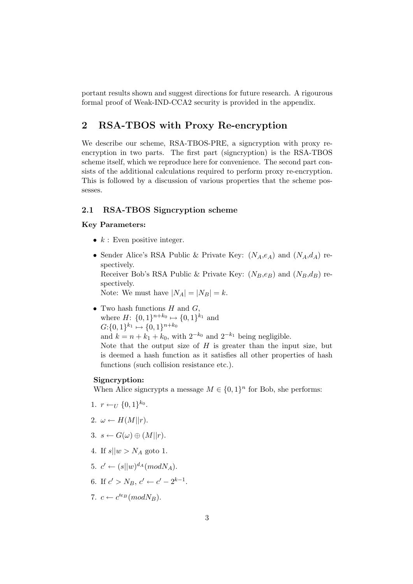portant results shown and suggest directions for future research. A rigourous formal proof of Weak-IND-CCA2 security is provided in the appendix.

## 2 RSA-TBOS with Proxy Re-encryption

We describe our scheme, RSA-TBOS-PRE, a signcryption with proxy reencryption in two parts. The first part (signcryption) is the RSA-TBOS scheme itself, which we reproduce here for convenience. The second part consists of the additional calculations required to perform proxy re-encryption. This is followed by a discussion of various properties that the scheme possesses.

### 2.1 RSA-TBOS Signcryption scheme

#### Key Parameters:

- $k:$  Even positive integer.
- Sender Alice's RSA Public & Private Key:  $(N_A, e_A)$  and  $(N_A, d_A)$  respectively.

Receiver Bob's RSA Public & Private Key:  $(N_B,e_B)$  and  $(N_B,d_B)$  respectively.

Note: We must have  $|N_A| = |N_B| = k$ .

• Two hash functions  $H$  and  $G$ , where  $H: \{0,1\}^{n+k_0} \mapsto \{0,1\}^{k_1}$  and  $G: \{0,1\}^{k_1} \mapsto \{0,1\}^{n+k_0}$ and  $k = n + k_1 + k_0$ , with  $2^{-k_0}$  and  $2^{-k_1}$  being negligible. Note that the output size of  $H$  is greater than the input size, but is deemed a hash function as it satisfies all other properties of hash functions (such collision resistance etc.).

### Signcryption:

When Alice signcrypts a message  $M \in \{0,1\}^n$  for Bob, she performs:

- 1.  $r \leftarrow_U \{0, 1\}^{k_0}$ .
- 2.  $\omega \leftarrow H(M||r)$ .
- 3.  $s \leftarrow G(\omega) \oplus (M||r)$ .
- 4. If  $s||w > N_A$  goto 1.
- 5.  $c' \leftarrow (s||w)^{d_A}(mod N_A).$
- 6. If  $c' > N_B$ ,  $c' \leftarrow c' 2^{k-1}$ .
- 7.  $c \leftarrow c'^{e_B}(mod N_B)$ .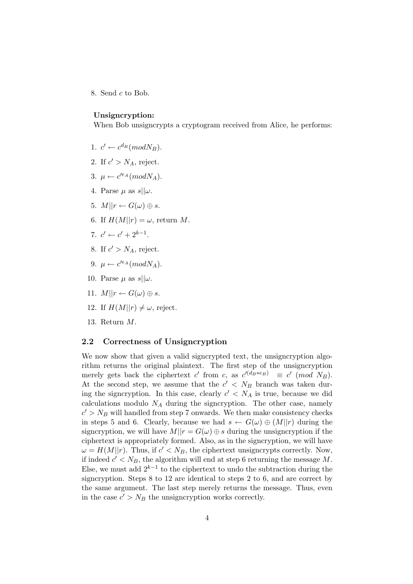8. Send c to Bob.

#### Unsigncryption:

When Bob unsigncrypts a cryptogram received from Alice, he performs:

- 1.  $c' \leftarrow c^{d_B} (mod N_B)$ .
- 2. If  $c' > N_A$ , reject.
- 3.  $\mu \leftarrow c'^{e_A}(mod N_A).$
- 4. Parse  $\mu$  as  $s||\omega$ .
- 5.  $M||r \leftarrow G(\omega) \oplus s$ .
- 6. If  $H(M||r) = \omega$ , return M.
- 7.  $c' \leftarrow c' + 2^{k-1}$ .
- 8. If  $c' > N_A$ , reject.
- 9.  $\mu \leftarrow c'^{e_A}(mod N_A).$
- 10. Parse  $\mu$  as  $s||\omega$ .
- 11.  $M||r \leftarrow G(\omega) \oplus s$ .
- 12. If  $H(M||r) \neq \omega$ , reject.
- 13. Return M.

### 2.2 Correctness of Unsigncryption

We now show that given a valid signcrypted text, the unsigncryption algorithm returns the original plaintext. The first step of the unsigncryption merely gets back the ciphertext c' from c, as  $c'^{(d_B*e_B)} \equiv c' \pmod{N_B}$ . At the second step, we assume that the  $c' < N_B$  branch was taken during the signcryption. In this case, clearly  $c' < N_A$  is true, because we did calculations modulo  $N_A$  during the signcryption. The other case, namely  $c' > N_B$  will handled from step 7 onwards. We then make consistency checks in steps 5 and 6. Clearly, because we had  $s \leftarrow G(\omega) \oplus (M||r)$  during the signcryption, we will have  $M||r = G(\omega) \oplus s$  during the unsigncryption if the ciphertext is appropriately formed. Also, as in the signcryption, we will have  $\omega = H(M||r)$ . Thus, if  $c' < N_B$ , the ciphertext unsigncrypts correctly. Now, if indeed  $c' < N_B$ , the algorithm will end at step 6 returning the message M. Else, we must add  $2^{k-1}$  to the ciphertext to undo the subtraction during the signcryption. Steps 8 to 12 are identical to steps 2 to 6, and are correct by the same argument. The last step merely returns the message. Thus, even in the case  $c' > N_B$  the unsigncryption works correctly.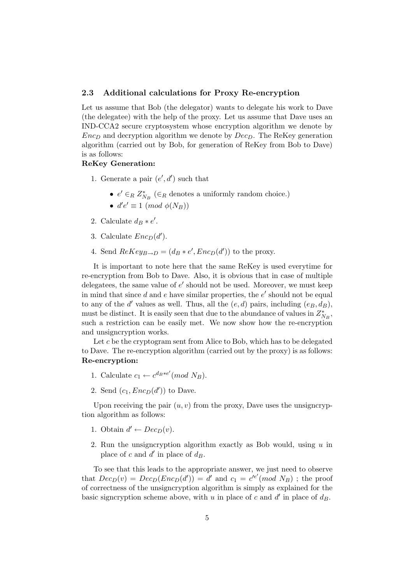#### 2.3 Additional calculations for Proxy Re-encryption

Let us assume that Bob (the delegator) wants to delegate his work to Dave (the delegatee) with the help of the proxy. Let us assume that Dave uses an IND-CCA2 secure cryptosystem whose encryption algorithm we denote by  $Enc_D$  and decryption algorithm we denote by  $Dec_D$ . The ReKey generation algorithm (carried out by Bob, for generation of ReKey from Bob to Dave) is as follows:

### ReKey Generation:

- 1. Generate a pair  $(e', d')$  such that
	- $e' \in_R Z^*_{N_B}$  ( $\in_R$  denotes a uniformly random choice.)
	- $d'e' \equiv 1 \pmod{\phi(N_B)}$
- 2. Calculate  $d_B * e'$ .
- 3. Calculate  $Enc_D(d')$ .
- 4. Send  $ReKey_{B\rightarrow D} = (d_B * e', Enc_D(d'))$  to the proxy.

It is important to note here that the same ReKey is used everytime for re-encryption from Bob to Dave. Also, it is obvious that in case of multiple delegatees, the same value of  $e'$  should not be used. Moreover, we must keep in mind that since  $d$  and  $e$  have similar properties, the  $e'$  should not be equal to any of the d' values as well. Thus, all the  $(e, d)$  pairs, including  $(e_B, d_B)$ , must be distinct. It is easily seen that due to the abundance of values in  $Z^*_{N_B}$ , such a restriction can be easily met. We now show how the re-encryption and unsigncryption works.

Let c be the cryptogram sent from Alice to Bob, which has to be delegated to Dave. The re-encryption algorithm (carried out by the proxy) is as follows: Re-encryption:

- 1. Calculate  $c_1 \leftarrow c^{d_B * e'} (mod N_B)$ .
- 2. Send  $(c_1, Enc_D(d'))$  to Dave.

Upon receiving the pair  $(u, v)$  from the proxy, Dave uses the unsigncryption algorithm as follows:

- 1. Obtain  $d' \leftarrow Dec_D(v)$ .
- 2. Run the unsigncryption algorithm exactly as Bob would, using  $u$  in place of c and  $d'$  in place of  $d_B$ .

To see that this leads to the appropriate answer, we just need to observe that  $Dec_D(v) = Dec_D(Enc_D(d')) = d'$  and  $c_1 = c'^{e'}(mod N_B)$ ; the proof of correctness of the unsigncryption algorithm is simply as explained for the basic signcryption scheme above, with u in place of c and  $d'$  in place of  $d_B$ .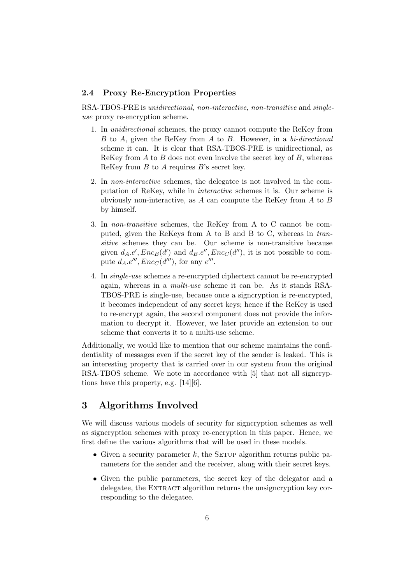### 2.4 Proxy Re-Encryption Properties

RSA-TBOS-PRE is unidirectional, non-interactive, non-transitive and singleuse proxy re-encryption scheme.

- 1. In unidirectional schemes, the proxy cannot compute the ReKey from B to A, given the ReKey from A to B. However, in a bi-directional scheme it can. It is clear that RSA-TBOS-PRE is unidirectional, as ReKey from  $A$  to  $B$  does not even involve the secret key of  $B$ , whereas ReKey from  $B$  to  $A$  requires  $B$ 's secret key.
- 2. In non-interactive schemes, the delegatee is not involved in the computation of ReKey, while in interactive schemes it is. Our scheme is obviously non-interactive, as A can compute the ReKey from A to B by himself.
- 3. In non-transitive schemes, the ReKey from A to C cannot be computed, given the ReKeys from A to B and B to C, whereas in transitive schemes they can be. Our scheme is non-transitive because given  $d_A.e', Enc_B(d')$  and  $d_B.e'', Enc_C(d'')$ , it is not possible to compute  $d_A.e^{\prime\prime\prime}$ ,  $Enc_C(d^{\prime\prime\prime})$ , for any  $e^{\prime\prime\prime}$ .
- 4. In single-use schemes a re-encrypted ciphertext cannot be re-encrypted again, whereas in a multi-use scheme it can be. As it stands RSA-TBOS-PRE is single-use, because once a signcryption is re-encrypted, it becomes independent of any secret keys; hence if the ReKey is used to re-encrypt again, the second component does not provide the information to decrypt it. However, we later provide an extension to our scheme that converts it to a multi-use scheme.

Additionally, we would like to mention that our scheme maintains the confidentiality of messages even if the secret key of the sender is leaked. This is an interesting property that is carried over in our system from the original RSA-TBOS scheme. We note in accordance with [5] that not all signcryptions have this property, e.g. [14][6].

## 3 Algorithms Involved

We will discuss various models of security for signcryption schemes as well as signcryption schemes with proxy re-encryption in this paper. Hence, we first define the various algorithms that will be used in these models.

- Given a security parameter k, the SETUP algorithm returns public parameters for the sender and the receiver, along with their secret keys.
- Given the public parameters, the secret key of the delegator and a delegatee, the EXTRACT algorithm returns the unsigncryption key corresponding to the delegatee.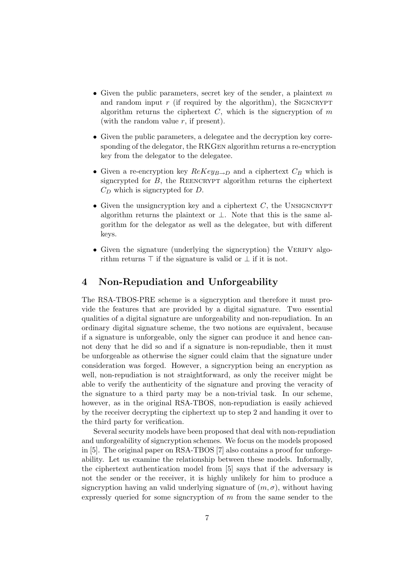- Given the public parameters, secret key of the sender, a plaintext  $m$ and random input  $r$  (if required by the algorithm), the SIGNCRYPT algorithm returns the ciphertext  $C$ , which is the signcryption of  $m$ (with the random value  $r$ , if present).
- Given the public parameters, a delegatee and the decryption key corresponding of the delegator, the RKGen algorithm returns a re-encryption key from the delegator to the delegatee.
- Given a re-encryption key  $ReKey_{B\rightarrow D}$  and a ciphertext  $C_B$  which is signcrypted for  $B$ , the REENCRYPT algorithm returns the ciphertext  $C_D$  which is signcrypted for  $D$ .
- Given the unsigncryption key and a ciphertext  $C$ , the UNSIGNCRYPT algorithm returns the plaintext or  $\perp$ . Note that this is the same algorithm for the delegator as well as the delegatee, but with different keys.
- Given the signature (underlying the signcryption) the VERIFY algorithm returns  $\top$  if the signature is valid or  $\bot$  if it is not.

## 4 Non-Repudiation and Unforgeability

The RSA-TBOS-PRE scheme is a signcryption and therefore it must provide the features that are provided by a digital signature. Two essential qualities of a digital signature are unforgeability and non-repudiation. In an ordinary digital signature scheme, the two notions are equivalent, because if a signature is unforgeable, only the signer can produce it and hence cannot deny that he did so and if a signature is non-repudiable, then it must be unforgeable as otherwise the signer could claim that the signature under consideration was forged. However, a signcryption being an encryption as well, non-repudiation is not straightforward, as only the receiver might be able to verify the authenticity of the signature and proving the veracity of the signature to a third party may be a non-trivial task. In our scheme, however, as in the original RSA-TBOS, non-repudiation is easily achieved by the receiver decrypting the ciphertext up to step 2 and handing it over to the third party for verification.

Several security models have been proposed that deal with non-repudiation and unforgeability of signcryption schemes. We focus on the models proposed in [5]. The original paper on RSA-TBOS [7] also contains a proof for unforgeability. Let us examine the relationship between these models. Informally, the ciphertext authentication model from [5] says that if the adversary is not the sender or the receiver, it is highly unlikely for him to produce a signcryption having an valid underlying signature of  $(m, \sigma)$ , without having expressly queried for some signcryption of  $m$  from the same sender to the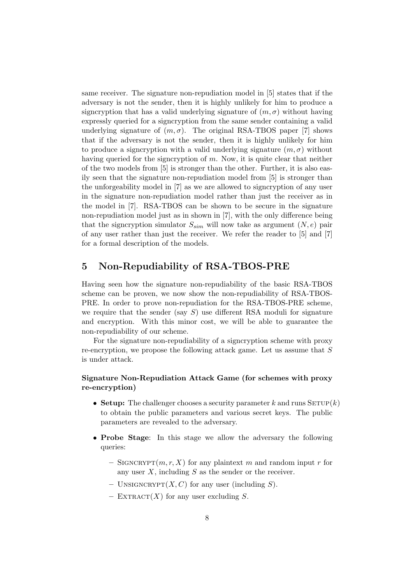same receiver. The signature non-repudiation model in [5] states that if the adversary is not the sender, then it is highly unlikely for him to produce a signcryption that has a valid underlying signature of  $(m, \sigma)$  without having expressly queried for a signcryption from the same sender containing a valid underlying signature of  $(m, \sigma)$ . The original RSA-TBOS paper [7] shows that if the adversary is not the sender, then it is highly unlikely for him to produce a signcryption with a valid underlying signature  $(m, \sigma)$  without having queried for the signcryption of m. Now, it is quite clear that neither of the two models from [5] is stronger than the other. Further, it is also easily seen that the signature non-repudiation model from [5] is stronger than the unforgeability model in [7] as we are allowed to signcryption of any user in the signature non-repudiation model rather than just the receiver as in the model in [7]. RSA-TBOS can be shown to be secure in the signature non-repudiation model just as in shown in [7], with the only difference being that the signcryption simulator  $S_{sim}$  will now take as argument  $(N, e)$  pair of any user rather than just the receiver. We refer the reader to [5] and [7] for a formal description of the models.

## 5 Non-Repudiability of RSA-TBOS-PRE

Having seen how the signature non-repudiability of the basic RSA-TBOS scheme can be proven, we now show the non-repudiability of RSA-TBOS-PRE. In order to prove non-repudiation for the RSA-TBOS-PRE scheme, we require that the sender (say  $S$ ) use different RSA moduli for signature and encryption. With this minor cost, we will be able to guarantee the non-repudiability of our scheme.

For the signature non-repudiability of a signcryption scheme with proxy re-encryption, we propose the following attack game. Let us assume that S is under attack.

### Signature Non-Repudiation Attack Game (for schemes with proxy re-encryption)

- Setup: The challenger chooses a security parameter k and runs  $SETUP(k)$ to obtain the public parameters and various secret keys. The public parameters are revealed to the adversary.
- Probe Stage: In this stage we allow the adversary the following queries:
	- SIGNCRYPT $(m, r, X)$  for any plaintext m and random input r for any user  $X$ , including  $S$  as the sender or the receiver.
	- UNSIGNCRYPT $(X, C)$  for any user (including S).
	- EXTRACT $(X)$  for any user excluding S.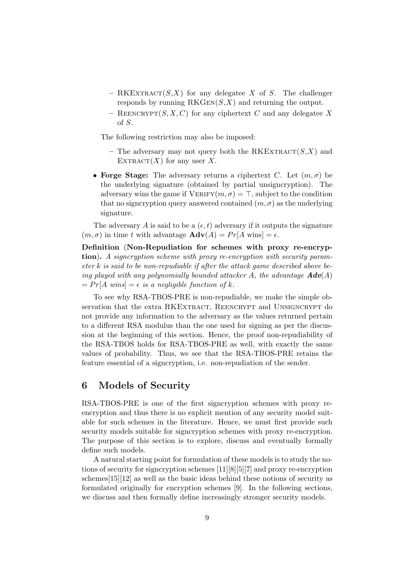- RKEXTRACT $(S, X)$  for any delegatee X of S. The challenger responds by running  $RKGEN(S,X)$  and returning the output.
- REENCRYPT $(S, X, C)$  for any ciphertext C and any delegatee X of S.

The following restriction may also be imposed:

- The adversary may not query both the RKEXTRACT $(S, X)$  and EXTRACT $(X)$  for any user X.
- Forge Stage: The adversary returns a ciphertext C. Let  $(m, \sigma)$  be the underlying signature (obtained by partial unsigncryption). The adversary wins the game if  $VERIFY(m, \sigma) = T$ , subject to the condition that no signcryption query answered contained  $(m, \sigma)$  as the underlying signature.

The adversary A is said to be a  $(\epsilon, t)$  adversary if it outputs the signature  $(m, \sigma)$  in time t with advantage  $\mathbf{Adv}(A) = Pr[A \text{ wins}] = \epsilon$ .

Definition (Non-Repudiation for schemes with proxy re-encryption). A signcryption scheme with proxy re-encryption with security param- $\epsilon$  eter k is said to be non-repudiable if after the attack game described above being played with any polynomially bounded attacker A, the advantage  $\mathbf{Adv}(A)$  $= Pr[A \text{ wins}] = \epsilon \text{ is a negligible function of } k.$ 

To see why RSA-TBOS-PRE is non-repudiable, we make the simple observation that the extra RKEXTRACT, REENCRYPT and UNSIGNCRYPT do not provide any information to the adversary as the values returned pertain to a different RSA modulus than the one used for signing as per the discussion at the beginning of this section. Hence, the proof non-repudiability of the RSA-TBOS holds for RSA-TBOS-PRE as well, with exactly the same values of probability. Thus, we see that the RSA-TBOS-PRE retains the feature essential of a signcryption, i.e. non-repudiation of the sender.

## 6 Models of Security

RSA-TBOS-PRE is one of the first signcryption schemes with proxy reencryption and thus there is no explicit mention of any security model suitable for such schemes in the literature. Hence, we must first provide such security models suitable for signcryption schemes with proxy re-encryption. The purpose of this section is to explore, discuss and eventually formally define such models.

A natural starting point for formulation of these models is to study the notions of security for signcryption schemes [11][8][5][7] and proxy re-encryption schemes[15][12] as well as the basic ideas behind these notions of security as formulated originally for encryption schemes [9]. In the following sections, we discuss and then formally define increasingly stronger security models.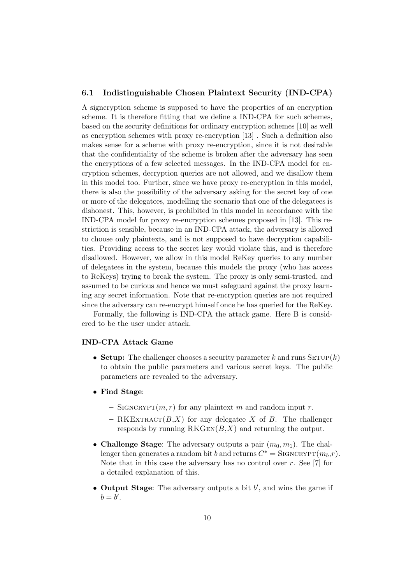### 6.1 Indistinguishable Chosen Plaintext Security (IND-CPA)

A signcryption scheme is supposed to have the properties of an encryption scheme. It is therefore fitting that we define a IND-CPA for such schemes, based on the security definitions for ordinary encryption schemes [10] as well as encryption schemes with proxy re-encryption [13] . Such a definition also makes sense for a scheme with proxy re-encryption, since it is not desirable that the confidentiality of the scheme is broken after the adversary has seen the encryptions of a few selected messages. In the IND-CPA model for encryption schemes, decryption queries are not allowed, and we disallow them in this model too. Further, since we have proxy re-encryption in this model, there is also the possibility of the adversary asking for the secret key of one or more of the delegatees, modelling the scenario that one of the delegatees is dishonest. This, however, is prohibited in this model in accordance with the IND-CPA model for proxy re-encryption schemes proposed in [13]. This restriction is sensible, because in an IND-CPA attack, the adversary is allowed to choose only plaintexts, and is not supposed to have decryption capabilities. Providing access to the secret key would violate this, and is therefore disallowed. However, we allow in this model ReKey queries to any number of delegatees in the system, because this models the proxy (who has access to ReKeys) trying to break the system. The proxy is only semi-trusted, and assumed to be curious and hence we must safeguard against the proxy learning any secret information. Note that re-encryption queries are not required since the adversary can re-encrypt himself once he has queried for the ReKey.

Formally, the following is IND-CPA the attack game. Here B is considered to be the user under attack.

#### IND-CPA Attack Game

- Setup: The challenger chooses a security parameter k and runs  $SETUP(k)$ to obtain the public parameters and various secret keys. The public parameters are revealed to the adversary.
- Find Stage:
	- SIGNCRYPT $(m, r)$  for any plaintext m and random input r.
	- RKEXTRACT $(B,X)$  for any delegatee X of B. The challenger responds by running  $RKGEN(B,X)$  and returning the output.
- Challenge Stage: The adversary outputs a pair  $(m_0, m_1)$ . The challenger then generates a random bit b and returns  $C^* = \text{SIGNCRYPT}(m_b, r)$ . Note that in this case the adversary has no control over  $r$ . See [7] for a detailed explanation of this.
- Output Stage: The adversary outputs a bit  $b'$ , and wins the game if  $b=b'.$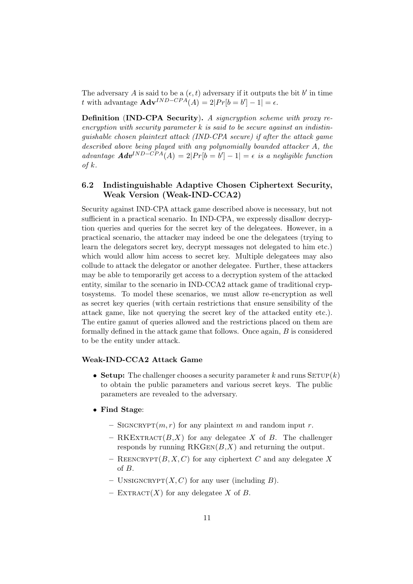The adversary A is said to be a  $(\epsilon, t)$  adversary if it outputs the bit b' in time t with advantage  $\mathbf{Adv}^{IND-CPA}(A) = 2|Pr[b = b'] - 1| = \epsilon.$ 

Definition (IND-CPA Security). A signcryption scheme with proxy reencryption with security parameter  $k$  is said to be secure against an indistinguishable chosen plaintext attack (IND-CPA secure) if after the attack game described above being played with any polynomially bounded attacker A, the advantage  $\mathbf{Adv}^{IND-CPA}(A) = 2|Pr[b = b'] - 1| = \epsilon$  is a negligible function  $of k.$ 

### 6.2 Indistinguishable Adaptive Chosen Ciphertext Security, Weak Version (Weak-IND-CCA2)

Security against IND-CPA attack game described above is necessary, but not sufficient in a practical scenario. In IND-CPA, we expressly disallow decryption queries and queries for the secret key of the delegatees. However, in a practical scenario, the attacker may indeed be one the delegatees (trying to learn the delegators secret key, decrypt messages not delegated to him etc.) which would allow him access to secret key. Multiple delegatees may also collude to attack the delegator or another delegatee. Further, these attackers may be able to temporarily get access to a decryption system of the attacked entity, similar to the scenario in IND-CCA2 attack game of traditional cryptosystems. To model these scenarios, we must allow re-encryption as well as secret key queries (with certain restrictions that ensure sensibility of the attack game, like not querying the secret key of the attacked entity etc.). The entire gamut of queries allowed and the restrictions placed on them are formally defined in the attack game that follows. Once again, B is considered to be the entity under attack.

#### Weak-IND-CCA2 Attack Game

- Setup: The challenger chooses a security parameter k and runs  $SETUP(k)$ to obtain the public parameters and various secret keys. The public parameters are revealed to the adversary.
- Find Stage:
	- SIGNCRYPT $(m, r)$  for any plaintext m and random input r.
	- RKEXTRACT $(B,X)$  for any delegatee X of B. The challenger responds by running  $RKGEN(B,X)$  and returning the output.
	- REENCRYPT $(B, X, C)$  for any ciphertext C and any delegatee X of B.
	- UNSIGNCRYPT $(X, C)$  for any user (including B).
	- EXTRACT(X) for any delegatee X of B.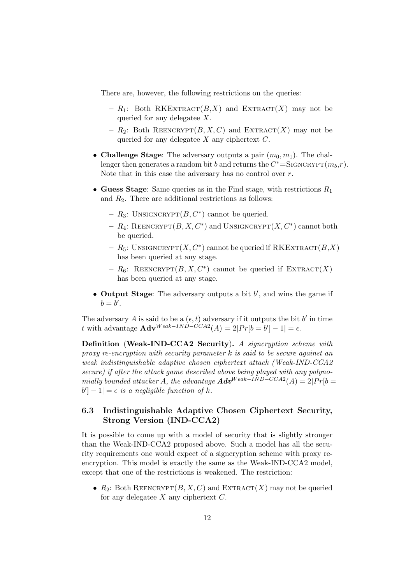There are, however, the following restrictions on the queries:

- $R_1$ : Both RKEXTRACT(B,X) and EXTRACT(X) may not be queried for any delegatee X.
- $R_2$ : Both REENCRYPT $(B, X, C)$  and EXTRACT $(X)$  may not be queried for any delegatee  $X$  any ciphertext  $C$ .
- Challenge Stage: The adversary outputs a pair  $(m_0, m_1)$ . The challenger then generates a random bit b and returns the  $C^* =$ SIGNCRYPT $(m_b,r)$ . Note that in this case the adversary has no control over  $r$ .
- Guess Stage: Same queries as in the Find stage, with restrictions  $R_1$ and  $R_2$ . There are additional restrictions as follows:
	- $R_3$ : UNSIGNCRYPT $(B, C^*)$  cannot be queried.
	- $R_4$ : REENCRYPT $(B, X, C^*)$  and UNSIGNCRYPT $(X, C^*)$  cannot both be queried.
	- $R_5$ : UNSIGNCRYPT $(X, C^*)$  cannot be queried if RKEXTRACT $(B, X)$ has been queried at any stage.
	- $-R_6$ : REENCRYPT $(B, X, C^*)$  cannot be queried if EXTRACT $(X)$ has been queried at any stage.
- Output Stage: The adversary outputs a bit  $b'$ , and wins the game if  $b=b'.$

The adversary A is said to be a  $(\epsilon, t)$  adversary if it outputs the bit b' in time t with advantage  $\mathbf{Adv}^{Weak-IND-CCA2}(A) = 2|Pr[b=b'] - 1| = \epsilon.$ 

Definition (Weak-IND-CCA2 Security). A signcryption scheme with proxy re-encryption with security parameter k is said to be secure against an weak indistinguishable adaptive chosen ciphertext attack (Weak-IND-CCA2 secure) if after the attack game described above being played with any polynomially bounded attacker A, the advantage  $\boldsymbol{Adv}^{Weak-IND-CCA2}(A) = 2|Pr[b=$  $|b'| - 1 = \epsilon$  is a negligible function of k.

### 6.3 Indistinguishable Adaptive Chosen Ciphertext Security, Strong Version (IND-CCA2)

It is possible to come up with a model of security that is slightly stronger than the Weak-IND-CCA2 proposed above. Such a model has all the security requirements one would expect of a signcryption scheme with proxy reencryption. This model is exactly the same as the Weak-IND-CCA2 model, except that one of the restrictions is weakened. The restriction:

•  $R_2$ : Both REENCRYPT $(B, X, C)$  and EXTRACT $(X)$  may not be queried for any delegatee  $X$  any ciphertext  $C$ .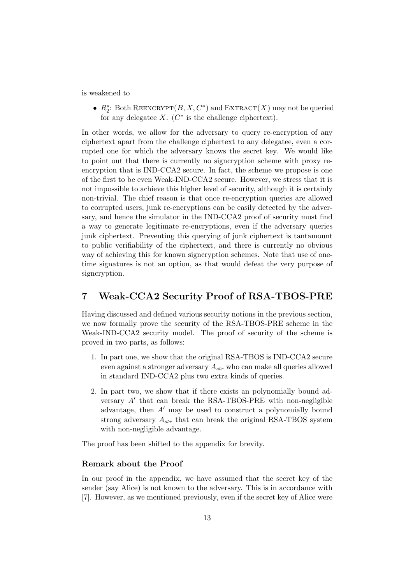is weakened to

•  $R_2^*$ : Both REENCRYPT $(B, X, C^*)$  and  $\text{EXTRACT}(X)$  may not be queried for any delegatee  $X$ .  $(C^*$  is the challenge ciphertext).

In other words, we allow for the adversary to query re-encryption of any ciphertext apart from the challenge ciphertext to any delegatee, even a corrupted one for which the adversary knows the secret key. We would like to point out that there is currently no signcryption scheme with proxy reencryption that is IND-CCA2 secure. In fact, the scheme we propose is one of the first to be even Weak-IND-CCA2 secure. However, we stress that it is not impossible to achieve this higher level of security, although it is certainly non-trivial. The chief reason is that once re-encryption queries are allowed to corrupted users, junk re-encryptions can be easily detected by the adversary, and hence the simulator in the IND-CCA2 proof of security must find a way to generate legitimate re-encryptions, even if the adversary queries junk ciphertext. Preventing this querying of junk ciphertext is tantamount to public verifiability of the ciphertext, and there is currently no obvious way of achieving this for known signcryption schemes. Note that use of onetime signatures is not an option, as that would defeat the very purpose of signcryption.

## 7 Weak-CCA2 Security Proof of RSA-TBOS-PRE

Having discussed and defined various security notions in the previous section, we now formally prove the security of the RSA-TBOS-PRE scheme in the Weak-IND-CCA2 security model. The proof of security of the scheme is proved in two parts, as follows:

- 1. In part one, we show that the original RSA-TBOS is IND-CCA2 secure even against a stronger adversary  $A_{str}$  who can make all queries allowed in standard IND-CCA2 plus two extra kinds of queries.
- 2. In part two, we show that if there exists an polynomially bound adversary  $A'$  that can break the RSA-TBOS-PRE with non-negligible advantage, then  $A'$  may be used to construct a polynomially bound strong adversary  $A_{str}$  that can break the original RSA-TBOS system with non-negligible advantage.

The proof has been shifted to the appendix for brevity.

### Remark about the Proof

In our proof in the appendix, we have assumed that the secret key of the sender (say Alice) is not known to the adversary. This is in accordance with [7]. However, as we mentioned previously, even if the secret key of Alice were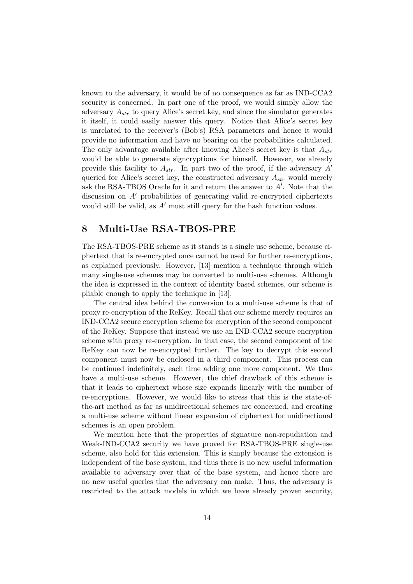known to the adversary, it would be of no consequence as far as IND-CCA2 sceurity is concerned. In part one of the proof, we would simply allow the adversary  $A_{str}$  to query Alice's secret key, and since the simulator generates it itself, it could easily answer this query. Notice that Alice's secret key is unrelated to the receiver's (Bob's) RSA parameters and hence it would provide no information and have no bearing on the probabilities calculated. The only advantage available after knowing Alice's secret key is that  $A_{str}$ would be able to generate signcryptions for himself. However, we already provide this facility to  $A_{str}$ . In part two of the proof, if the adversary  $A'$ queried for Alice's secret key, the constructed adversary  $A_{str}$  would merely ask the RSA-TBOS Oracle for it and return the answer to  $A'$ . Note that the discussion on  $A'$  probabilities of generating valid re-encrypted ciphertexts would still be valid, as  $A'$  must still query for the hash function values.

## 8 Multi-Use RSA-TBOS-PRE

The RSA-TBOS-PRE scheme as it stands is a single use scheme, because ciphertext that is re-encrypted once cannot be used for further re-encryptions, as explained previously. However, [13] mention a technique through which many single-use schemes may be converted to multi-use schemes. Although the idea is expressed in the context of identity based schemes, our scheme is pliable enough to apply the technique in [13].

The central idea behind the conversion to a multi-use scheme is that of proxy re-encryption of the ReKey. Recall that our scheme merely requires an IND-CCA2 secure encryption scheme for encryption of the second component of the ReKey. Suppose that instead we use an IND-CCA2 secure encryption scheme with proxy re-encryption. In that case, the second component of the ReKey can now be re-encrypted further. The key to decrypt this second component must now be enclosed in a third component. This process can be continued indefinitely, each time adding one more component. We thus have a multi-use scheme. However, the chief drawback of this scheme is that it leads to ciphertext whose size expands linearly with the number of re-encryptions. However, we would like to stress that this is the state-ofthe-art method as far as unidirectional schemes are concerned, and creating a multi-use scheme without linear expansion of ciphertext for unidirectional schemes is an open problem.

We mention here that the properties of signature non-repudiation and Weak-IND-CCA2 security we have proved for RSA-TBOS-PRE single-use scheme, also hold for this extension. This is simply because the extension is independent of the base system, and thus there is no new useful information available to adversary over that of the base system, and hence there are no new useful queries that the adversary can make. Thus, the adversary is restricted to the attack models in which we have already proven security,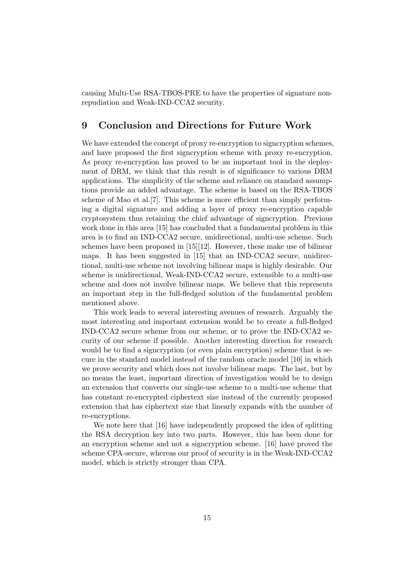causing Multi-Use RSA-TBOS-PRE to have the properties of signature nonrepudiation and Weak-IND-CCA2 security.

## 9 Conclusion and Directions for Future Work

We have extended the concept of proxy re-encryption to signcryption schemes, and have proposed the first signcryption scheme with proxy re-encryption. As proxy re-encryption has proved to be an important tool in the deployment of DRM, we think that this result is of significance to various DRM applications. The simplicity of the scheme and reliance on standard assumptions provide an added advantage. The scheme is based on the RSA-TBOS scheme of Mao et al.[7]. This scheme is more efficient than simply performing a digital signature and adding a layer of proxy re-encryption capable cryptosystem thus retaining the chief advantage of signcryption. Previous work done in this area [15] has concluded that a fundamental problem in this area is to find an IND-CCA2 secure, unidirectional, multi-use scheme. Such schemes have been proposed in [15][12]. However, these make use of bilinear maps. It has been suggested in [15] that an IND-CCA2 secure, unidirectional, multi-use scheme not involving bilinear maps is highly desirable. Our scheme is unidirectional, Weak-IND-CCA2 secure, extensible to a multi-use scheme and does not involve bilinear maps. We believe that this represents an important step in the full-fledged solution of the fundamental problem mentioned above.

This work leads to several interesting avenues of research. Arguably the most interesting and important extension would be to create a full-fledged IND-CCA2 secure scheme from our scheme, or to prove the IND-CCA2 security of our scheme if possible. Another interesting direction for research would be to find a signcryption (or even plain encryption) scheme that is secure in the standard model instead of the random oracle model [10] in which we prove security and which does not involve bilinear maps. The last, but by no means the least, important direction of investigation would be to design an extension that converts our single-use scheme to a multi-use scheme that has constant re-encrypted ciphertext size instead of the currently proposed extension that has ciphertext size that linearly expands with the number of re-encryptions.

We note here that [16] have independently proposed the idea of splitting the RSA decryption key into two parts. However, this has been done for an encryption scheme and not a signcryption scheme. [16] have proved the scheme CPA-secure, whereas our proof of security is in the Weak-IND-CCA2 model, which is strictly stronger than CPA.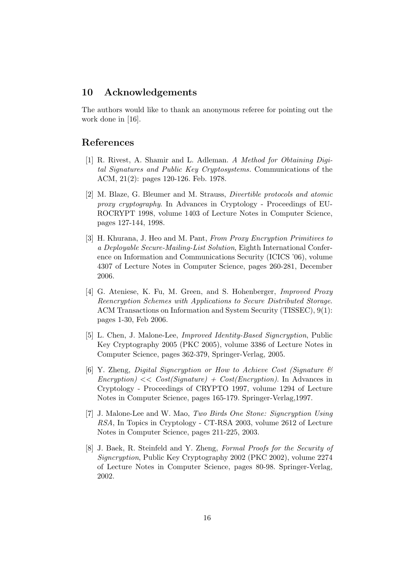## 10 Acknowledgements

The authors would like to thank an anonymous referee for pointing out the work done in [16].

## References

- [1] R. Rivest, A. Shamir and L. Adleman. A Method for Obtaining Digital Signatures and Public Key Cryptosystems. Communications of the ACM, 21(2): pages 120-126. Feb. 1978.
- [2] M. Blaze, G. Bleumer and M. Strauss, Divertible protocols and atomic proxy cryptography. In Advances in Cryptology - Proceedings of EU-ROCRYPT 1998, volume 1403 of Lecture Notes in Computer Science, pages 127-144, 1998.
- [3] H. Khurana, J. Heo and M. Pant, From Proxy Encryption Primitives to a Deployable Secure-Mailing-List Solution, Eighth International Conference on Information and Communications Security (ICICS '06), volume 4307 of Lecture Notes in Computer Science, pages 260-281, December 2006.
- [4] G. Ateniese, K. Fu, M. Green, and S. Hohenberger, *Improved Proxy* Reencryption Schemes with Applications to Secure Distributed Storage. ACM Transactions on Information and System Security (TISSEC), 9(1): pages 1-30, Feb 2006.
- [5] L. Chen, J. Malone-Lee, Improved Identity-Based Signcryption, Public Key Cryptography 2005 (PKC 2005), volume 3386 of Lecture Notes in Computer Science, pages 362-379, Springer-Verlag, 2005.
- [6] Y. Zheng, Digital Signcryption or How to Achieve Cost (Signature &  $Encryption$   $\ll$   $Cost(Signature) + Cost(Encryption)$ . In Advances in Cryptology - Proceedings of CRYPTO 1997, volume 1294 of Lecture Notes in Computer Science, pages 165-179. Springer-Verlag,1997.
- [7] J. Malone-Lee and W. Mao, Two Birds One Stone: Signcryption Using RSA, In Topics in Cryptology - CT-RSA 2003, volume 2612 of Lecture Notes in Computer Science, pages 211-225, 2003.
- [8] J. Baek, R. Steinfeld and Y. Zheng, Formal Proofs for the Security of Signcryption, Public Key Cryptography 2002 (PKC 2002), volume 2274 of Lecture Notes in Computer Science, pages 80-98. Springer-Verlag, 2002.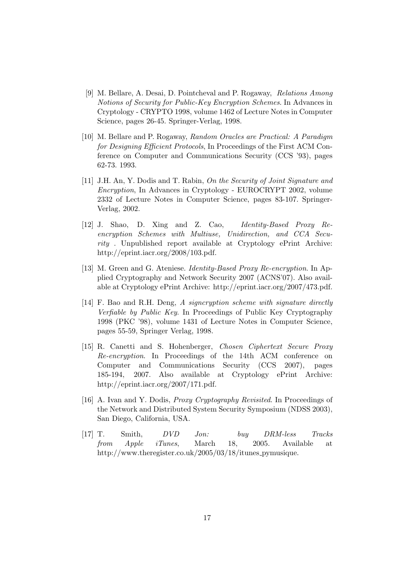- [9] M. Bellare, A. Desai, D. Pointcheval and P. Rogaway, Relations Among Notions of Security for Public-Key Encryption Schemes. In Advances in Cryptology - CRYPTO 1998, volume 1462 of Lecture Notes in Computer Science, pages 26-45. Springer-Verlag, 1998.
- [10] M. Bellare and P. Rogaway, Random Oracles are Practical: A Paradigm for Designing Efficient Protocols, In Proceedings of the First ACM Conference on Computer and Communications Security (CCS '93), pages 62-73. 1993.
- [11] J.H. An, Y. Dodis and T. Rabin, On the Security of Joint Signature and Encryption, In Advances in Cryptology - EUROCRYPT 2002, volume 2332 of Lecture Notes in Computer Science, pages 83-107. Springer-Verlag, 2002.
- [12] J. Shao, D. Xing and Z. Cao, Identity-Based Proxy Reencryption Schemes with Multiuse, Unidirection, and CCA Security . Unpublished report available at Cryptology ePrint Archive: http://eprint.iacr.org/2008/103.pdf.
- [13] M. Green and G. Ateniese. *Identity-Based Proxy Re-encryption*. In Applied Cryptography and Network Security 2007 (ACNS'07). Also available at Cryptology ePrint Archive: http://eprint.iacr.org/2007/473.pdf.
- [14] F. Bao and R.H. Deng, A signcryption scheme with signature directly Verfiable by Public Key. In Proceedings of Public Key Cryptography 1998 (PKC '98), volume 1431 of Lecture Notes in Computer Science, pages 55-59, Springer Verlag, 1998.
- [15] R. Canetti and S. Hohenberger, Chosen Ciphertext Secure Proxy Re-encryption. In Proceedings of the 14th ACM conference on Computer and Communications Security (CCS 2007), pages 185-194, 2007. Also available at Cryptology ePrint Archive: http://eprint.iacr.org/2007/171.pdf.
- [16] A. Ivan and Y. Dodis, Proxy Cryptography Revisited. In Proceedings of the Network and Distributed System Security Symposium (NDSS 2003), San Diego, California, USA.
- [17] T. Smith, DVD Jon: buy DRM-less Tracks from Apple iTunes, March 18, 2005. Available at http://www.theregister.co.uk/2005/03/18/itunes pymusique.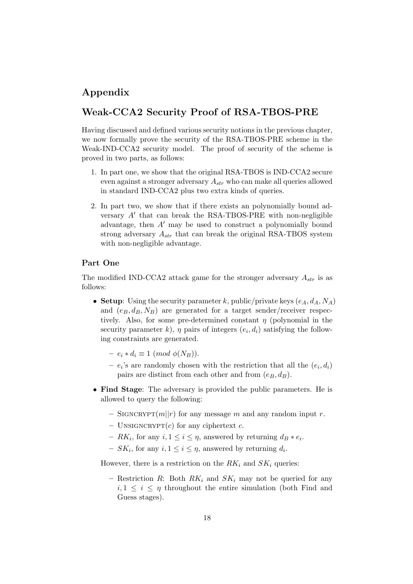## Appendix

## Weak-CCA2 Security Proof of RSA-TBOS-PRE

Having discussed and defined various security notions in the previous chapter, we now formally prove the security of the RSA-TBOS-PRE scheme in the Weak-IND-CCA2 security model. The proof of security of the scheme is proved in two parts, as follows:

- 1. In part one, we show that the original RSA-TBOS is IND-CCA2 secure even against a stronger adversary  $A_{str}$  who can make all queries allowed in standard IND-CCA2 plus two extra kinds of queries.
- 2. In part two, we show that if there exists an polynomially bound adversary  $A'$  that can break the RSA-TBOS-PRE with non-negligible advantage, then  $A'$  may be used to construct a polynomially bound strong adversary  $A_{str}$  that can break the original RSA-TBOS system with non-negligible advantage.

### Part One

The modified IND-CCA2 attack game for the stronger adversary  $A_{str}$  is as follows:

- Setup: Using the security parameter k, public/private keys  $(e_A, d_A, N_A)$ and  $(e_B, d_B, N_B)$  are generated for a target sender/receiver respectively. Also, for some pre-determined constant  $\eta$  (polynomial in the security parameter k,  $\eta$  pairs of integers  $(e_i, d_i)$  satisfying the following constraints are generated.
	- $e_i * d_i \equiv 1 \pmod{\phi(N_B)}$ .
	- $-e_i$ 's are randomly chosen with the restriction that all the  $(e_i, d_i)$ pairs are distinct from each other and from  $(e_B, d_B)$ .
- Find Stage: The adversary is provided the public parameters. He is allowed to query the following:
	- SIGNCRYPT $(m||r)$  for any message m and any random input r.
	- UNSIGNCRYPT $(c)$  for any ciphertext c.
	- $R K_i$ , for any  $i, 1 \leq i \leq \eta$ , answered by returning  $d_B * e_i$ .
	- $SK_i$ , for any  $i, 1 \leq i \leq \eta$ , answered by returning  $d_i$ .

However, there is a restriction on the  $RK_i$  and  $SK_i$  queries:

– Restriction R: Both  $RK_i$  and  $SK_i$  may not be queried for any  $i, 1 \leq i \leq \eta$  throughout the entire simulation (both Find and Guess stages).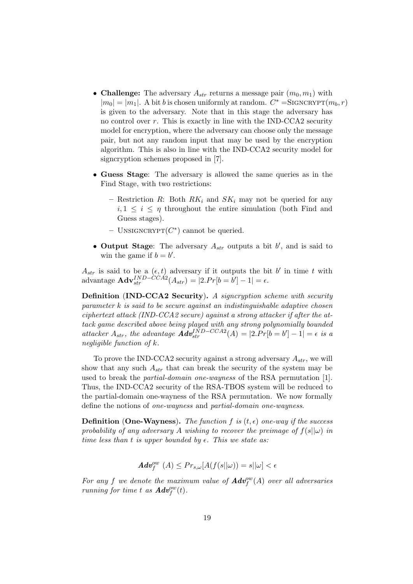- Challenge: The adversary  $A_{str}$  returns a message pair  $(m_0, m_1)$  with  $|m_0| = |m_1|$ . A bit b is chosen uniformly at random.  $C^* =$ SIGNCRYPT $(m_b, r)$ is given to the adversary. Note that in this stage the adversary has no control over  $r$ . This is exactly in line with the IND-CCA2 security model for encryption, where the adversary can choose only the message pair, but not any random input that may be used by the encryption algorithm. This is also in line with the IND-CCA2 security model for signcryption schemes proposed in [7].
- Guess Stage: The adversary is allowed the same queries as in the Find Stage, with two restrictions:
	- Restriction R: Both  $RK_i$  and  $SK_i$  may not be queried for any  $i, 1 \leq i \leq \eta$  throughout the entire simulation (both Find and Guess stages).
	- $-$  UNSIGNCRYPT $(C^*)$  cannot be queried.
- Output Stage: The adversary  $A_{str}$  outputs a bit  $b'$ , and is said to win the game if  $b = b'$ .

 $A_{str}$  is said to be a  $(\epsilon, t)$  adversary if it outputs the bit b' in time t with advantage  $\mathbf{Adv}_{str}^{IND-CCA2}(A_{str}) = |2.Pr[b=b'] - 1| = \epsilon.$ 

Definition (IND-CCA2 Security). A signcryption scheme with security  $parameter k$  is said to be secure against an indistinguishable adaptive chosen ciphertext attack (IND-CCA2 secure) against a strong attacker if after the attack game described above being played with any strong polynomially bounded attacker  $A_{str}$ , the advantage  $\boldsymbol{Adv}_{str}^{IND-CCA2}(A) = |2.Pr[b=b'] - 1| = \epsilon$  is a negligible function of k.

To prove the IND-CCA2 security against a strong adversary  $A_{str}$ , we will show that any such  $A_{str}$  that can break the security of the system may be used to break the partial-domain one-wayness of the RSA permutation [1]. Thus, the IND-CCA2 security of the RSA-TBOS system will be reduced to the partial-domain one-wayness of the RSA permutation. We now formally define the notions of one-wayness and partial-domain one-wayness.

**Definition (One-Wayness).** The function f is  $(t, \epsilon)$  one-way if the success probability of any adversary A wishing to recover the preimage of  $f(s||\omega)$  in time less than t is upper bounded by  $\epsilon$ . This we state as:

$$
\pmb{Adv}^{ow}_f(A) \leq Pr_{s,\omega}[A(f(s||\omega)) = s||\omega] < \epsilon
$$

For any f we denote the maximum value of  $\boldsymbol{Adv}^{ow}_f(A)$  over all adversaries running for time t as  $\boldsymbol{Adv}^{ow}_f(t)$ .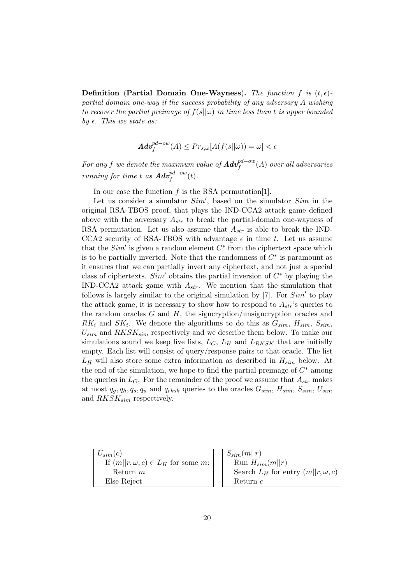**Definition** (Partial Domain One-Wayness). The function f is  $(t, \epsilon)$ partial domain one-way if the success probability of any adversary A wishing to recover the partial preimage of  $f(s||\omega)$  in time less than t is upper bounded by  $\epsilon$ . This we state as:

$$
Adv_f^{pd-ow}(A) \le Pr_{s,\omega}[A(f(s||\omega)) = \omega] < \epsilon
$$

For any  $f$  we denote the maximum value of  $\boldsymbol{Adv}^{pd-ow}_{f}(A)$  over all adversaries running for time t as  $\boldsymbol{Adv}^{pd-ow}_f(t)$ .

In our case the function  $f$  is the RSA permutation [1].

Let us consider a simulator  $Sim'$ , based on the simulator  $Sim$  in the original RSA-TBOS proof, that plays the IND-CCA2 attack game defined above with the adversary  $A_{str}$  to break the partial-domain one-wayness of RSA permutation. Let us also assume that  $A_{str}$  is able to break the IND-CCA2 security of RSA-TBOS with advantage  $\epsilon$  in time t. Let us assume that the  $Sim'$  is given a random element  $C^*$  from the ciphertext space which is to be partially inverted. Note that the randomness of  $C^*$  is paramount as it ensures that we can partially invert any ciphertext, and not just a special class of ciphertexts.  $Sim'$  obtains the partial inversion of  $C^*$  by playing the IND-CCA2 attack game with  $A_{str}$ . We mention that the simulation that follows is largely similar to the original simulation by  $[7]$ . For  $Sim'$  to play the attack game, it is necessary to show how to respond to  $A_{str}$ 's queries to the random oracles  $G$  and  $H$ , the signcryption/unsigncryption oracles and  $RK_i$  and  $SK_i$ . We denote the algorithms to do this as  $G_{sim}$ ,  $H_{sim}$ ,  $S_{sim}$ ,  $U_{sim}$  and  $RKSK_{sim}$  respectively and we describe them below. To make our simulations sound we keep five lists,  $L_G$ ,  $L_H$  and  $L_{RKSK}$  that are initially empty. Each list will consist of query/response pairs to that oracle. The list  $L_H$  will also store some extra information as described in  $H_{sim}$  below. At the end of the simulation, we hope to find the partial preimage of  $C^*$  among the queries in  $L_G$ . For the remainder of the proof we assume that  $A_{str}$  makes at most  $q_g, q_h, q_s, q_u$  and  $q_{rksk}$  queries to the oracles  $G_{sim}$ ,  $H_{sim}$ ,  $S_{sim}$ ,  $U_{sim}$ and  $RKSK_{sim}$  respectively.

 $U_{sim}(c)$ If  $(m||r, \omega, c) \in L_H$  for some m: Return m Else Reject

 $S_{sim}(m||r)$ Run  $H_{sim}(m||r)$ Search  $L_H$  for entry  $(m||r, \omega, c)$ Return c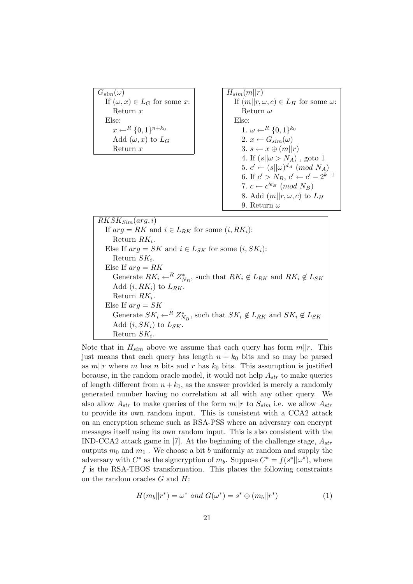$G_{sim}(\omega)$ If  $(\omega, x) \in L_G$  for some x: Return x Else:  $x \leftarrow^R \{0,1\}^{n+k_0}$ Add  $(\omega, x)$  to  $L_G$ Return x

 $H_{sim}(m||r)$ If  $(m||r, \omega, c) \in L_H$  for some  $\omega$ : Return ω Else: 1.  $\omega \leftarrow^R \{0,1\}^{k_0}$ 2.  $x \leftarrow G_{sim}(\omega)$ 3.  $s \leftarrow x \oplus (m||r)$ 4. If  $(s||\omega > N_A)$ , goto 1 5.  $c' \leftarrow (s||\omega)^{d_A} \pmod{N_A}$ 6. If  $c' > N_B$ ,  $c' \leftarrow c' - 2^{k-1}$ 7.  $c \leftarrow c^{\prime e_B} \pmod{N_B}$ 8. Add  $(m||r, \omega, c)$  to  $L_H$ 9. Return  $\omega$ 

 $RKSK_{Sim}(arg, i)$ If  $arg = RK$  and  $i \in L_{RK}$  for some  $(i, RK_i)$ : Return  $RK_i$ . Else If  $arg = SK$  and  $i \in L_{SK}$  for some  $(i, SK_i)$ : Return  $SK_i$ . Else If  $arg = RK$ Generate  $RK_i \leftarrow^R Z^*_{N_B}$ , such that  $RK_i \notin L_{RK}$  and  $RK_i \notin L_{SK}$ Add  $(i, RK_i)$  to  $L_{RK}$ . Return  $RK_i$ . Else If  $arg = SK$ Generate  $SK_i \leftarrow^R Z^*_{N_B}$ , such that  $SK_i \notin L_{RK}$  and  $SK_i \notin L_{SK}$ Add  $(i, SK_i)$  to  $L_{SK}$ . Return  $SK_i$ .

Note that in  $H_{sim}$  above we assume that each query has form  $m||r$ . This just means that each query has length  $n + k_0$  bits and so may be parsed as  $m||r$  where m has n bits and r has  $k_0$  bits. This assumption is justified because, in the random oracle model, it would not help  $A_{str}$  to make queries of length different from  $n + k_0$ , as the answer provided is merely a randomly generated number having no correlation at all with any other query. We also allow  $A_{str}$  to make queries of the form  $m||r$  to  $S_{sim}$  i.e. we allow  $A_{str}$ to provide its own random input. This is consistent with a CCA2 attack on an encryption scheme such as RSA-PSS where an adversary can encrypt messages itself using its own random input. This is also consistent with the IND-CCA2 attack game in [7]. At the beginning of the challenge stage,  $A_{str}$ outputs  $m_0$  and  $m_1$ . We choose a bit b uniformly at random and supply the adversary with  $C^*$  as the signcryption of  $m_b$ . Suppose  $C^* = f(s^*||\omega^*)$ , where f is the RSA-TBOS transformation. This places the following constraints on the random oracles G and H:

$$
H(m_b||r^*) = \omega^* \ and \ G(\omega^*) = s^* \oplus (m_b||r^*) \tag{1}
$$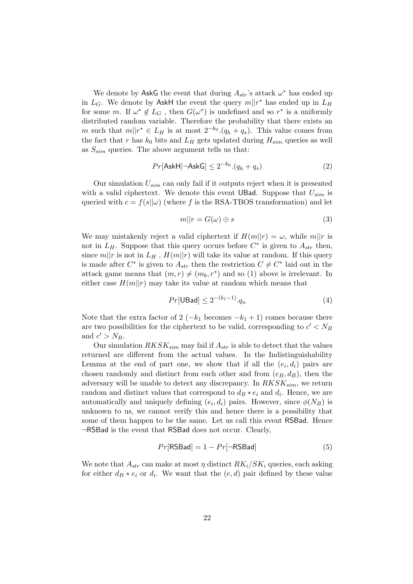We denote by AskG the event that during  $A_{str}$ 's attack  $\omega^*$  has ended up in  $L_G$ . We denote by AskH the event the query  $m||r^*$  has ended up in  $L_H$ for some m. If  $\omega^* \notin L_G$ , then  $G(\omega^*)$  is undefined and so  $r^*$  is a uniformly distributed random variable. Therefore the probability that there exists an m such that  $m||r^* \in L_H$  is at most  $2^{-k_0} (q_h + q_s)$ . This value comes from the fact that r has  $k_0$  bits and  $L_H$  gets updated during  $H_{sim}$  queries as well as  $S_{sim}$  queries. The above argument tells us that:

$$
Pr[\mathsf{AskH}|\neg \mathsf{AskG}] \le 2^{-k_0} \cdot (q_h + q_s)
$$
 (2)

Our simulation  $U_{sim}$  can only fail if it outputs reject when it is presented with a valid ciphertext. We denote this event UBad. Suppose that  $U_{sim}$  is queried with  $c = f(s||\omega)$  (where f is the RSA-TBOS transformation) and let

$$
m||r = G(\omega) \oplus s \tag{3}
$$

We may mistakenly reject a valid ciphertext if  $H(m||r) = \omega$ , while  $m||r$  is not in  $L_H$ . Suppose that this query occurs before  $C^*$  is given to  $A_{str}$  then, since  $m||r$  is not in  $L_H$ ,  $H(m||r)$  will take its value at random. If this query is made after  $C^*$  is given to  $A_{str}$  then the restriction  $C \neq C^*$  laid out in the attack game means that  $(m, r) \neq (m_b, r^*)$  and so (1) above is irrelevant. In either case  $H(m||r)$  may take its value at random which means that

$$
Pr[UBad] \le 2^{-(k_1 - 1)} \cdot q_u \tag{4}
$$

Note that the extra factor of 2 ( $-k_1$  becomes  $-k_1 + 1$ ) comes because there are two possibilities for the ciphertext to be valid, corresponding to  $c' < N_B$ and  $c' > N_B$ .

Our simulation  $RKSK_{sim}$  may fail if  $A_{str}$  is able to detect that the values returned are different from the actual values. In the Indistinguishability Lemma at the end of part one, we show that if all the  $(e_i, d_i)$  pairs are chosen randomly and distinct from each other and from  $(e_B, d_B)$ , then the adversary will be unable to detect any discrepancy. In  $RKSK_{sim}$ , we return random and distinct values that correspond to  $d_B * e_i$  and  $d_i$ . Hence, we are automatically and uniquely defining  $(e_i, d_i)$  pairs. However, since  $\phi(N_B)$  is unknown to us, we cannot verify this and hence there is a possibility that some of them happen to be the same. Let us call this event RSBad. Hence ¬RSBad is the event that RSBad does not occur. Clearly,

$$
Pr[\text{RSBad}] = 1 - Pr[\neg \text{RSBad}] \tag{5}
$$

We note that  $A_{str}$  can make at most  $\eta$  distinct  $RK_i/SK_i$  queries, each asking for either  $d_B * e_i$  or  $d_i$ . We want that the  $(e, d)$  pair defined by these value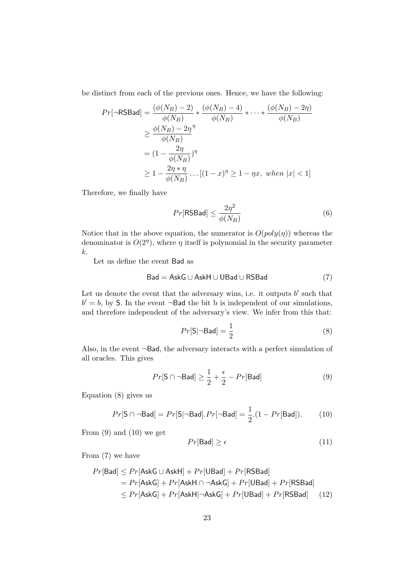be distinct from each of the previous ones. Hence, we have the following:

$$
Pr[\neg \text{RSBad}] = \frac{(\phi(N_B) - 2)}{\phi(N_B)} * \frac{(\phi(N_B) - 4)}{\phi(N_B)} * \dots * \frac{(\phi(N_B) - 2\eta)}{\phi(N_B)}
$$
  
\n
$$
\geq \frac{\phi(N_B) - 2\eta^{\eta}}{\phi(N_B)}
$$
  
\n
$$
= (1 - \frac{2\eta}{\phi(N_B)})^{\eta}
$$
  
\n
$$
\geq 1 - \frac{2\eta * \eta}{\phi(N_B)} \dots [(1 - x)^{\eta} \geq 1 - \eta x, \text{ when } |x| < 1]
$$

Therefore, we finally have

$$
Pr[\text{RSBad}] \le \frac{2\eta^2}{\phi(N_B)}\tag{6}
$$

Notice that in the above equation, the numerator is  $O(poly(\eta))$  whereas the denominator is  $O(2<sup>\eta</sup>)$ , where  $\eta$  itself is polynomial in the security parameter k.

Let us define the event Bad as

$$
Bad = AskG \cup AskH \cup UBad \cup RSBad \tag{7}
$$

Let us denote the event that the adversary wins, i.e. it outputs  $b'$  such that  $b' = b$ , by S. In the event  $\neg$ Bad the bit b is independent of our simulations, and therefore independent of the adversary's view. We infer from this that:

$$
Pr[\mathsf{S}|\neg \mathsf{Bad}] = \frac{1}{2} \tag{8}
$$

Also, in the event ¬Bad, the adversary interacts with a perfect simulation of all oracles. This gives

$$
Pr[\mathsf{S} \cap \neg \mathsf{Bad}] \ge \frac{1}{2} + \frac{\epsilon}{2} - Pr[\mathsf{Bad}] \tag{9}
$$

Equation (8) gives us

$$
Pr[\mathsf{S} \cap \neg \mathsf{Bad}] = Pr[\mathsf{S} | \neg \mathsf{Bad}]. Pr[\neg \mathsf{Bad}] = \frac{1}{2}.(1 - Pr[\mathsf{Bad}]). \tag{10}
$$

From  $(9)$  and  $(10)$  we get

$$
Pr[\mathsf{Bad}] \ge \epsilon \tag{11}
$$

From (7) we have

$$
Pr[\text{Bad}] \leq Pr[\text{AskG} \cup \text{AskH}] + Pr[\text{UBad}] + Pr[\text{RSBad}]
$$
  
= 
$$
Pr[\text{AskG}] + Pr[\text{AskH} \cap \neg \text{AskG}] + Pr[\text{UBad}] + Pr[\text{RSBad}]
$$
  

$$
\leq Pr[\text{AskG}] + Pr[\text{AskH}] \neg \text{AskG}] + Pr[\text{UBad}] + Pr[\text{RSBad}] \qquad (12)
$$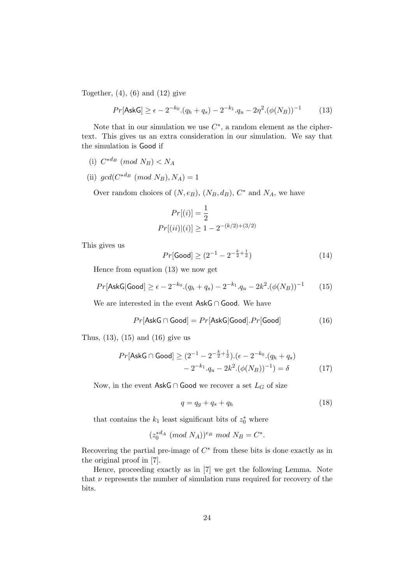Together,  $(4)$ ,  $(6)$  and  $(12)$  give

$$
Pr[\text{AskG}] \ge \epsilon - 2^{-k_0} (q_h + q_s) - 2^{-k_1} q_u - 2\eta^2 (\phi(N_B))^{-1} \tag{13}
$$

Note that in our simulation we use  $C^*$ , a random element as the ciphertext. This gives us an extra consideration in our simulation. We say that the simulation is Good if

- (i)  $C^{*d_B} \pmod{N_B} < N_A$
- (ii)  $gcd(C^{*d_B} \pmod{N_B}, N_A) = 1$

Over random choices of  $(N, e_B)$ ,  $(N_B, d_B)$ ,  $C^*$  and  $N_A$ , we have

$$
Pr[(i)] = \frac{1}{2}
$$
  

$$
Pr[(ii)|(i)] \ge 1 - 2^{-(k/2) + (3/2)}
$$

This gives us

$$
Pr[\text{Good}] \ge (2^{-1} - 2^{-\frac{k}{2} + \frac{1}{2}})
$$
 (14)

Hence from equation (13) we now get

$$
Pr[\text{AskG}|\text{Good}] \ge \epsilon - 2^{-k_0} \cdot (q_h + q_s) - 2^{-k_1} \cdot q_u - 2k^2 \cdot (\phi(N_B))^{-1} \tag{15}
$$

We are interested in the event AskG ∩ Good. We have

$$
Pr[\mathsf{AskG} \cap \mathsf{Good}] = Pr[\mathsf{AskG}|\mathsf{Good}].Pr[\mathsf{Good}] \tag{16}
$$

Thus, (13), (15) and (16) give us

$$
Pr[\text{AskG} \cap \text{Good}] \ge (2^{-1} - 2^{-\frac{k}{2} + \frac{1}{2}}).(\epsilon - 2^{-k_0}.(q_h + q_s) - 2^{-k_1}.q_u - 2k^2.(\phi(N_B))^{-1}) = \delta
$$
 (17)

Now, in the event AskG ∩ Good we recover a set  $L_G$  of size

$$
q = q_g + q_s + q_h \tag{18}
$$

that contains the  $k_1$  least significant bits of  $z_0^*$  where

$$
(z_0^{*d_A} \pmod{N_A})^{e_B} \mod N_B = C^*.
$$

Recovering the partial pre-image of  $C^*$  from these bits is done exactly as in the original proof in [7].

Hence, proceeding exactly as in [7] we get the following Lemma. Note that  $\nu$  represents the number of simulation runs required for recovery of the bits.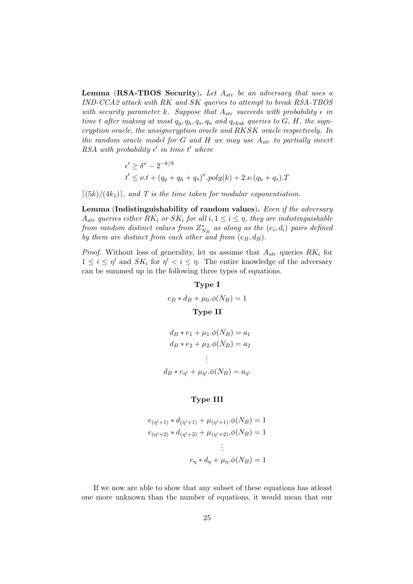**Lemma (RSA-TBOS Security).** Let  $A_{str}$  be an adversary that uses a IND-CCA2 attack with RK and SK queries to attempt to break RSA-TBOS with security parameter k. Suppose that  $A_{str}$  succeeds with probability  $\epsilon$  in time t after making at most  $q_g, q_h, q_s, q_u$  and  $q_{rksk}$  queries to  $G, H$ , the signcryption oracle, the unsigncryption oracle and RKSK oracle respectively. In the random oracle model for G and H we may use  $A_{str}$  to partially invert RSA with probability  $\epsilon'$  in time  $t'$  where

$$
\epsilon' \ge \delta^{\nu} - 2^{-k/8}
$$
  

$$
t' \le \nu \cdot t + (q_g + q_h + q_s)^{\nu} \cdot poly(k) + 2 \cdot \nu \cdot (q_h + q_s) \cdot T
$$

 $[(5k)/(4k_1)]$ , and T is the time taken for modular exponentiation.

Lemma (Indistinguishability of random values). Even if the adversary  $A_{str}$  queries either  $RK_i$  or  $SK_i$  for all  $i, 1 \leq i \leq \eta$ , they are indistinguishable from random distinct values from  $Z_{N_B}^*$  as along as the  $(e_i,d_i)$  pairs defined by them are distinct from each other and from  $(e_B, d_B)$ .

*Proof.* Without loss of generality, let us assume that  $A_{str}$  queries  $RK_i$  for  $1 \leq i \leq \eta'$  and  $SK_i$  for  $\eta' < i \leq \eta$ . The entire knowledge of the adversary can be summed up in the following three types of equations.

### Type I

 $e_B * d_B + \mu_0.\phi(N_B) = 1$ Type II

$$
d_B * e_1 + \mu_1 \cdot \phi(N_B) = a_1
$$
  
\n
$$
d_B * e_2 + \mu_2 \cdot \phi(N_B) = a_2
$$
  
\n
$$
\vdots
$$
  
\n
$$
d_B * e_{\eta'} + \mu_{\eta'} \cdot \phi(N_B) = a_{\eta'}
$$

### Type III

$$
e_{(\eta'+1)} * d_{(\eta'+1)} + \mu_{(\eta'+1)}.\phi(N_B) = 1
$$
  

$$
e_{(\eta'+2)} * d_{(\eta'+2)} + \mu_{(\eta'+2)}.\phi(N_B) = 1
$$
  

$$
\vdots
$$
  

$$
e_{\eta} * d_{\eta} + \mu_{\eta}.\phi(N_B) = 1
$$

If we now are able to show that any subset of these equations has atleast one more unknown than the number of equations, it would mean that our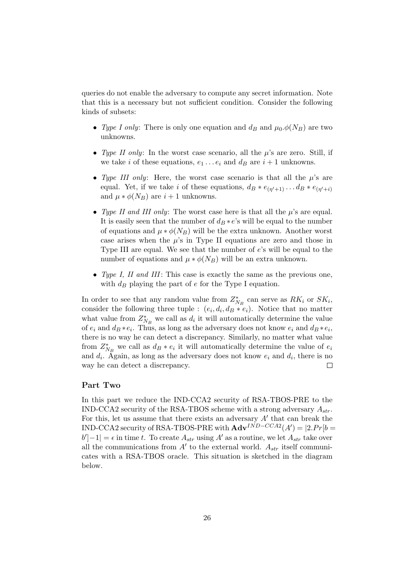queries do not enable the adversary to compute any secret information. Note that this is a necessary but not sufficient condition. Consider the following kinds of subsets:

- Type I only: There is only one equation and  $d_B$  and  $\mu_0.\phi(N_B)$  are two unknowns.
- Type II only: In the worst case scenario, all the  $\mu$ 's are zero. Still, if we take i of these equations,  $e_1 \ldots e_i$  and  $d_B$  are  $i + 1$  unknowns.
- Type III only: Here, the worst case scenario is that all the  $\mu$ 's are equal. Yet, if we take i of these equations,  $d_B * e_{(\eta' + 1)} \dots d_B * e_{(\eta' + i)}$ and  $\mu * \phi(N_B)$  are  $i + 1$  unknowns.
- Type II and III only: The worst case here is that all the  $\mu$ 's are equal. It is easily seen that the number of  $d_B * e$ 's will be equal to the number of equations and  $\mu * \phi(N_B)$  will be the extra unknown. Another worst case arises when the  $\mu$ 's in Type II equations are zero and those in Type III are equal. We see that the number of e's will be equal to the number of equations and  $\mu * \phi(N_B)$  will be an extra unknown.
- Type I, II and III: This case is exactly the same as the previous one, with  $d_B$  playing the part of  $e$  for the Type I equation.

In order to see that any random value from  $Z_{N_B}^*$  can serve as  $RK_i$  or  $SK_i$ , consider the following three tuple :  $(e_i, d_i, d_i, e_i)$ . Notice that no matter what value from  $Z_{N_B}^*$  we call as  $d_i$  it will automatically determine the value of  $e_i$  and  $d_B * e_i$ . Thus, as long as the adversary does not know  $e_i$  and  $d_B * e_i$ , there is no way he can detect a discrepancy. Similarly, no matter what value from  $Z_{N_B}^*$  we call as  $d_B * e_i$  it will automatically determine the value of  $e_i$ and  $d_i$ . Again, as long as the adversary does not know  $e_i$  and  $d_i$ , there is no way he can detect a discrepancy.  $\Box$ 

#### Part Two

In this part we reduce the IND-CCA2 security of RSA-TBOS-PRE to the IND-CCA2 security of the RSA-TBOS scheme with a strong adversary  $A_{str}$ . For this, let us assume that there exists an adversary  $A'$  that can break the IND-CCA2 security of RSA-TBOS-PRE with  $\mathbf{Adv}^{IND-CCA2}(A') = |2.Pr|b =$  $|b'| - 1| = \epsilon$  in time t. To create  $A_{str}$  using A' as a routine, we let  $A_{str}$  take over all the communications from  $A'$  to the external world.  $A_{str}$  itself communicates with a RSA-TBOS oracle. This situation is sketched in the diagram below.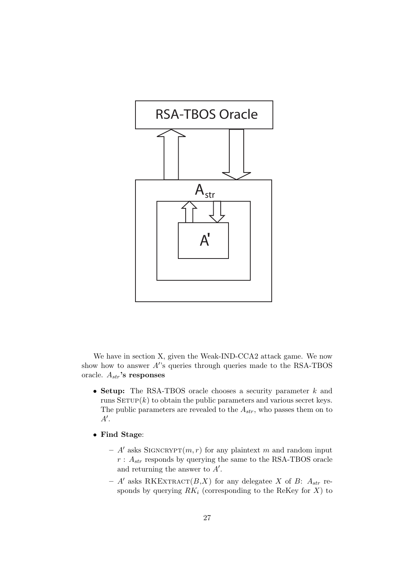

We have in section X, given the Weak-IND-CCA2 attack game. We now show how to answer  $A$ 's queries through queries made to the RSA-TBOS oracle.  $A_{str}$ 's responses

- Setup: The RSA-TBOS oracle chooses a security parameter  $k$  and runs  $SETUP(k)$  to obtain the public parameters and various secret keys. The public parameters are revealed to the  $A_{str}$ , who passes them on to  $A^{\prime}$ .
- Find Stage:
	- A' asks SIGNCRYPT $(m, r)$  for any plaintext m and random input  $r: A_{str}$  responds by querying the same to the RSA-TBOS oracle and returning the answer to  $A'$ .
	- A' asks RKEXTRACT $(B,X)$  for any delegatee X of B:  $A_{str}$  responds by querying  $RK_i$  (corresponding to the ReKey for  $X$ ) to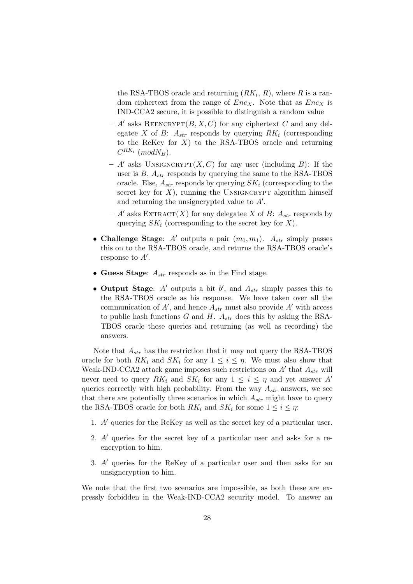the RSA-TBOS oracle and returning  $(RK_i, R)$ , where R is a random ciphertext from the range of  $Enc<sub>X</sub>$ . Note that as  $Enc<sub>X</sub>$  is IND-CCA2 secure, it is possible to distinguish a random value

- $A'$  asks REENCRYPT $(B, X, C)$  for any ciphertext C and any delegatee X of B:  $A_{str}$  responds by querying  $RK_i$  (corresponding to the ReKey for  $X$ ) to the RSA-TBOS oracle and returning  $C^{RK_i}$  (mod $N_B$ ).
- $A'$  asks UNSIGNCRYPT $(X, C)$  for any user (including B): If the user is  $B$ ,  $A_{str}$  responds by querying the same to the RSA-TBOS oracle. Else,  $A_{str}$  responds by querying  $SK_i$  (corresponding to the secret key for  $X$ ), running the UNSIGNCRYPT algorithm himself and returning the unsigncrypted value to  $A'$ .
- $A'$  asks EXTRACT(X) for any delegatee X of B:  $A_{str}$  responds by querying  $SK_i$  (corresponding to the secret key for X).
- Challenge Stage: A' outputs a pair  $(m_0, m_1)$ .  $A_{str}$  simply passes this on to the RSA-TBOS oracle, and returns the RSA-TBOS oracle's response to  $A'$ .
- Guess Stage:  $A_{str}$  responds as in the Find stage.
- Output Stage:  $A'$  outputs a bit  $b'$ , and  $A_{str}$  simply passes this to the RSA-TBOS oracle as his response. We have taken over all the communication of  $A'$ , and hence  $A_{str}$  must also provide  $A'$  with access to public hash functions G and H.  $A_{str}$  does this by asking the RSA-TBOS oracle these queries and returning (as well as recording) the answers.

Note that  $A_{str}$  has the restriction that it may not query the RSA-TBOS oracle for both  $RK_i$  and  $SK_i$  for any  $1 \leq i \leq \eta$ . We must also show that Weak-IND-CCA2 attack game imposes such restrictions on  $A'$  that  $A_{str}$  will never need to query  $RK_i$  and  $SK_i$  for any  $1 \leq i \leq \eta$  and yet answer A' queries correctly with high probability. From the way  $A_{str}$  answers, we see that there are potentially three scenarios in which  $A_{str}$  might have to query the RSA-TBOS oracle for both  $RK_i$  and  $SK_i$  for some  $1 \leq i \leq \eta$ :

- 1.  $A'$  queries for the ReKey as well as the secret key of a particular user.
- 2.  $A'$  queries for the secret key of a particular user and asks for a reencryption to him.
- 3.  $A'$  queries for the ReKey of a particular user and then asks for an unsigncryption to him.

We note that the first two scenarios are impossible, as both these are expressly forbidden in the Weak-IND-CCA2 security model. To answer an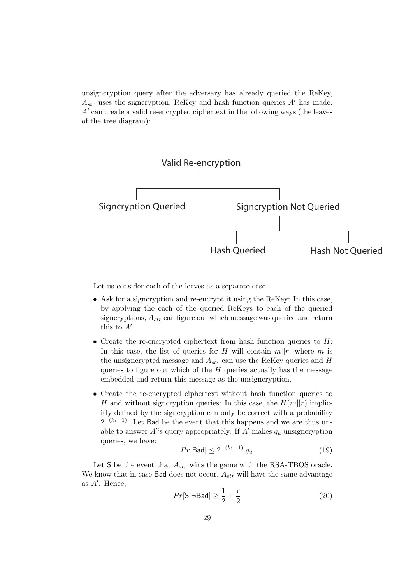unsigncryption query after the adversary has already queried the ReKey,  $A_{str}$  uses the signcryption, ReKey and hash function queries A' has made.  $A'$  can create a valid re-encrypted ciphertext in the following ways (the leaves of the tree diagram):



Let us consider each of the leaves as a separate case.

- Ask for a signcryption and re-encrypt it using the ReKey: In this case, by applying the each of the queried ReKeys to each of the queried signcryptions,  $A_{str}$  can figure out which message was queried and return this to  $A'$ .
- Create the re-encrypted ciphertext from hash function queries to  $H$ : In this case, the list of queries for H will contain  $m||r$ , where m is the unsigncrypted message and  $A_{str}$  can use the ReKey queries and H queries to figure out which of the  $H$  queries actually has the message embedded and return this message as the unsigncryption.
- Create the re-encrypted ciphertext without hash function queries to H and without signcryption queries: In this case, the  $H(m||r)$  implicitly defined by the signcryption can only be correct with a probability  $2^{-(k_1-1)}$ . Let Bad be the event that this happens and we are thus unable to answer  $A$ 's query appropriately. If  $A'$  makes  $q_u$  unsigncryption queries, we have:

$$
Pr[\mathsf{Bad}] \le 2^{-(k_1 - 1)} \cdot q_u \tag{19}
$$

Let S be the event that  $A_{str}$  wins the game with the RSA-TBOS oracle. We know that in case Bad does not occur,  $A_{str}$  will have the same advantage as  $A'$ . Hence,

$$
Pr[\mathsf{S}|\neg \mathsf{Bad}] \ge \frac{1}{2} + \frac{\epsilon}{2} \tag{20}
$$